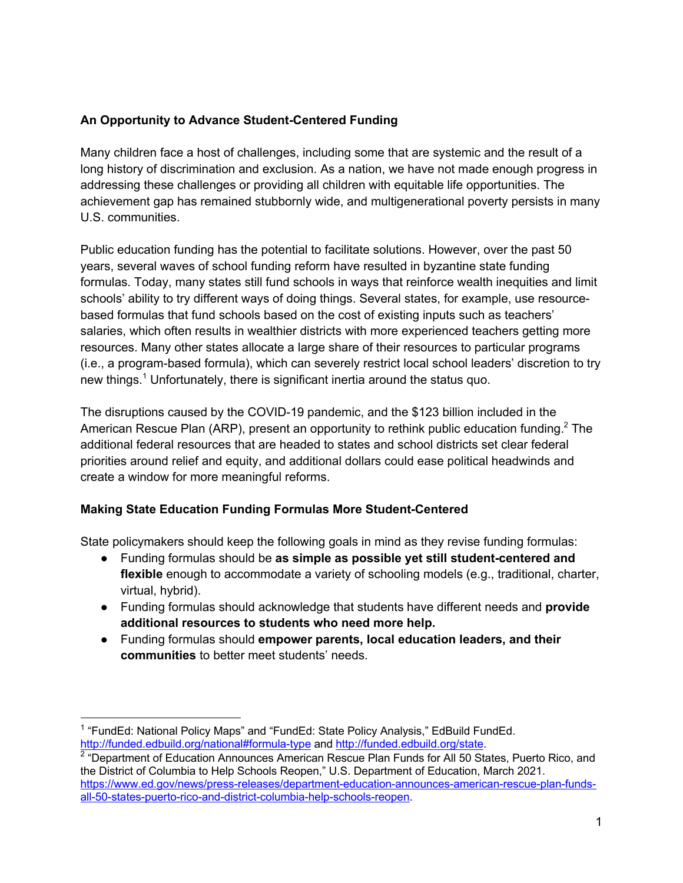### **An Opportunity to Advance Student-Centered Funding**

Many children face a host of challenges, including some that are systemic and the result of a long history of discrimination and exclusion. As a nation, we have not made enough progress in addressing these challenges or providing all children with equitable life opportunities. The achievement gap has remained stubbornly wide, and multigenerational poverty persists in many U.S. communities.

Public education funding has the potential to facilitate solutions. However, over the past 50 years, several waves of school funding reform have resulted in byzantine state funding formulas. Today, many states still fund schools in ways that reinforce wealth inequities and limit schools' ability to try different ways of doing things. Several states, for example, use resourcebased formulas that fund schools based on the cost of existing inputs such as teachers' salaries, which often results in wealthier districts with more experienced teachers getting more resources. Many other states allocate a large share of their resources to particular programs (i.e., a program-based formula), which can severely restrict local school leaders' discretion to try new things.<sup>1</sup> Unfortunately, there is significant inertia around the status quo.

The disruptions caused by the COVID-19 pandemic, and the \$123 billion included in the American Rescue Plan (ARP), present an opportunity to rethink public education funding.<sup>2</sup> The additional federal resources that are headed to states and school districts set clear federal priorities around relief and equity, and additional dollars could ease political headwinds and create a window for more meaningful reforms.

# **Making State Education Funding Formulas More Student-Centered**

State policymakers should keep the following goals in mind as they revise funding formulas:

- Funding formulas should be **as simple as possible yet still student-centered and flexible** enough to accommodate a variety of schooling models (e.g., traditional, charter, virtual, hybrid).
- Funding formulas should acknowledge that students have different needs and **provide additional resources to students who need more help.**
- Funding formulas should **empower parents, local education leaders, and their communities** to better meet students' needs.

<sup>&</sup>lt;sup>1</sup> "FundEd: National Policy Maps" and "FundEd: State Policy Analysis," EdBuild FundEd. http://funded.edbuild.org/national#formula-type and http://funded.edbuild.org/state.

 $2$  "Department of Education Announces American Rescue Plan Funds for All 50 States, Puerto Rico, and the District of Columbia to Help Schools Reopen," U.S. Department of Education, March 2021. https://www.ed.gov/news/press-releases/department-education-announces-american-rescue-plan-fundsall-50-states-puerto-rico-and-district-columbia-help-schools-reopen.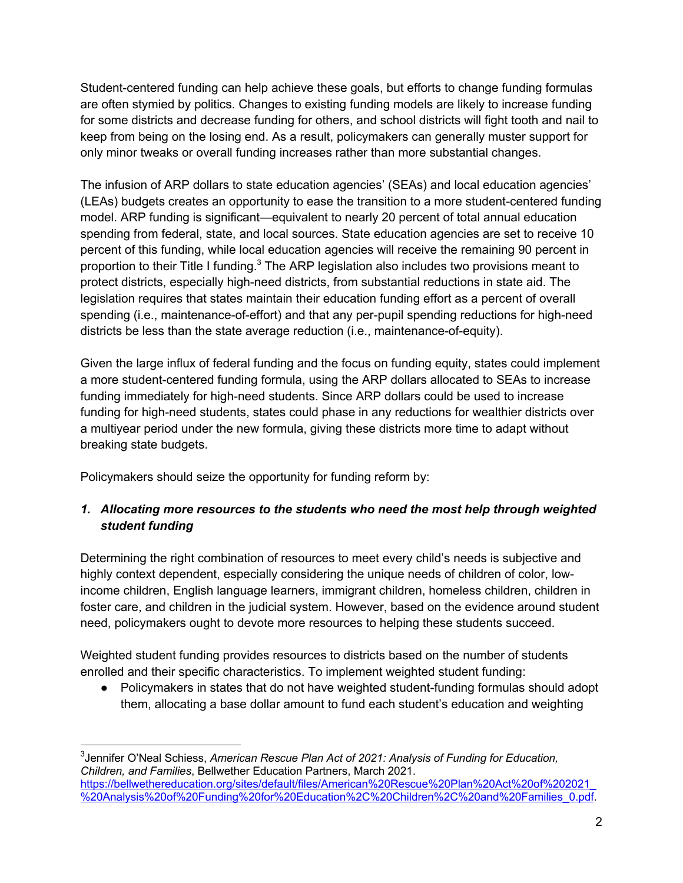Student-centered funding can help achieve these goals, but efforts to change funding formulas are often stymied by politics. Changes to existing funding models are likely to increase funding for some districts and decrease funding for others, and school districts will fight tooth and nail to keep from being on the losing end. As a result, policymakers can generally muster support for only minor tweaks or overall funding increases rather than more substantial changes.

The infusion of ARP dollars to state education agencies' (SEAs) and local education agencies' (LEAs) budgets creates an opportunity to ease the transition to a more student-centered funding model. ARP funding is significant—equivalent to nearly 20 percent of total annual education spending from federal, state, and local sources. State education agencies are set to receive 10 percent of this funding, while local education agencies will receive the remaining 90 percent in proportion to their Title I funding.<sup>3</sup> The ARP legislation also includes two provisions meant to protect districts, especially high-need districts, from substantial reductions in state aid. The legislation requires that states maintain their education funding effort as a percent of overall spending (i.e., maintenance-of-effort) and that any per-pupil spending reductions for high-need districts be less than the state average reduction (i.e., maintenance-of-equity).

Given the large influx of federal funding and the focus on funding equity, states could implement a more student-centered funding formula, using the ARP dollars allocated to SEAs to increase funding immediately for high-need students. Since ARP dollars could be used to increase funding for high-need students, states could phase in any reductions for wealthier districts over a multiyear period under the new formula, giving these districts more time to adapt without breaking state budgets.

Policymakers should seize the opportunity for funding reform by:

## *1. Allocating more resources to the students who need the most help through weighted student funding*

Determining the right combination of resources to meet every child's needs is subjective and highly context dependent, especially considering the unique needs of children of color, lowincome children, English language learners, immigrant children, homeless children, children in foster care, and children in the judicial system. However, based on the evidence around student need, policymakers ought to devote more resources to helping these students succeed.

Weighted student funding provides resources to districts based on the number of students enrolled and their specific characteristics. To implement weighted student funding:

● Policymakers in states that do not have weighted student-funding formulas should adopt them, allocating a base dollar amount to fund each student's education and weighting

<sup>3</sup> Jennifer O'Neal Schiess, *American Rescue Plan Act of 2021: Analysis of Funding for Education, Children, and Families*, Bellwether Education Partners, March 2021. https://bellwethereducation.org/sites/default/files/American%20Rescue%20Plan%20Act%20of%202021\_ %20Analysis%20of%20Funding%20for%20Education%2C%20Children%2C%20and%20Families\_0.pdf.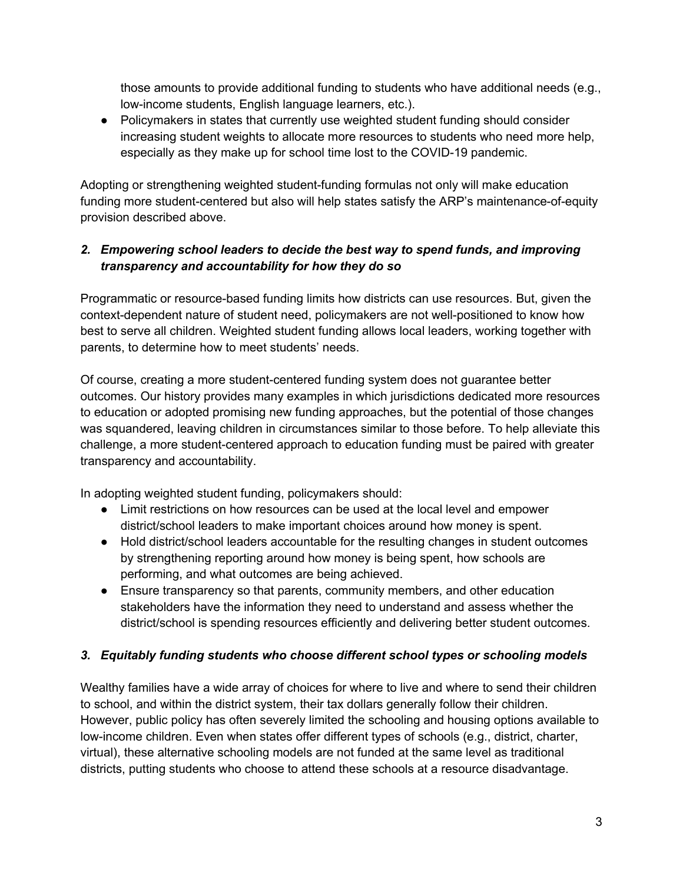those amounts to provide additional funding to students who have additional needs (e.g., low-income students, English language learners, etc.).

• Policymakers in states that currently use weighted student funding should consider increasing student weights to allocate more resources to students who need more help, especially as they make up for school time lost to the COVID-19 pandemic.

Adopting or strengthening weighted student-funding formulas not only will make education funding more student-centered but also will help states satisfy the ARP's maintenance-of-equity provision described above.

# *2. Empowering school leaders to decide the best way to spend funds, and improving transparency and accountability for how they do so*

Programmatic or resource-based funding limits how districts can use resources. But, given the context-dependent nature of student need, policymakers are not well-positioned to know how best to serve all children. Weighted student funding allows local leaders, working together with parents, to determine how to meet students' needs.

Of course, creating a more student-centered funding system does not guarantee better outcomes. Our history provides many examples in which jurisdictions dedicated more resources to education or adopted promising new funding approaches, but the potential of those changes was squandered, leaving children in circumstances similar to those before. To help alleviate this challenge, a more student-centered approach to education funding must be paired with greater transparency and accountability.

In adopting weighted student funding, policymakers should:

- Limit restrictions on how resources can be used at the local level and empower district/school leaders to make important choices around how money is spent.
- Hold district/school leaders accountable for the resulting changes in student outcomes by strengthening reporting around how money is being spent, how schools are performing, and what outcomes are being achieved.
- Ensure transparency so that parents, community members, and other education stakeholders have the information they need to understand and assess whether the district/school is spending resources efficiently and delivering better student outcomes.

# *3. Equitably funding students who choose different school types or schooling models*

Wealthy families have a wide array of choices for where to live and where to send their children to school, and within the district system, their tax dollars generally follow their children. However, public policy has often severely limited the schooling and housing options available to low-income children. Even when states offer different types of schools (e.g., district, charter, virtual), these alternative schooling models are not funded at the same level as traditional districts, putting students who choose to attend these schools at a resource disadvantage.